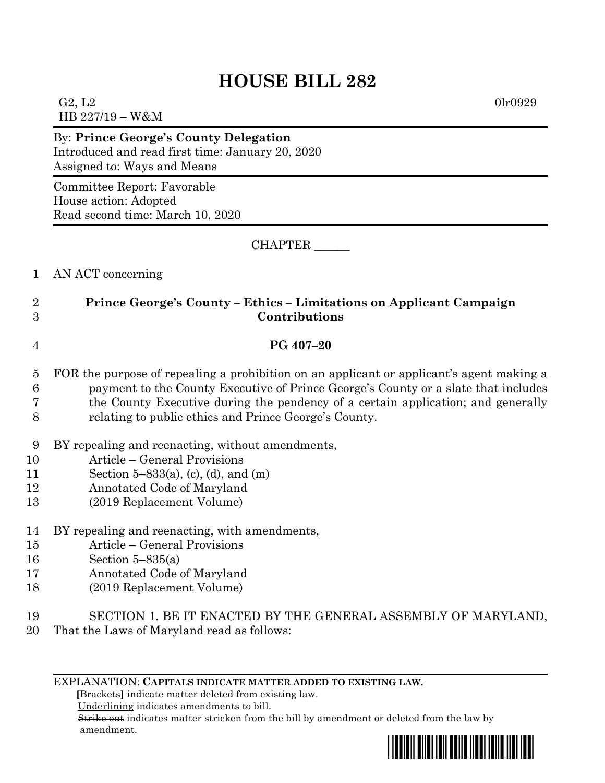## **HOUSE BILL 282**

G2, L2 0lr0929 HB 227/19 – W&M

By: **Prince George's County Delegation** Introduced and read first time: January 20, 2020 Assigned to: Ways and Means

Committee Report: Favorable House action: Adopted Read second time: March 10, 2020

CHAPTER \_\_\_\_\_\_

1 AN ACT concerning

## 2 **Prince George's County – Ethics – Limitations on Applicant Campaign**  3 **Contributions**

## 4 **PG 407–20**

- 5 FOR the purpose of repealing a prohibition on an applicant or applicant's agent making a 6 payment to the County Executive of Prince George's County or a slate that includes 7 the County Executive during the pendency of a certain application; and generally 8 relating to public ethics and Prince George's County.
- 9 BY repealing and reenacting, without amendments,
- 10 Article General Provisions
- 11 Section 5–833(a), (c), (d), and (m)
- 12 Annotated Code of Maryland
- 13 (2019 Replacement Volume)
- 14 BY repealing and reenacting, with amendments,
- 15 Article General Provisions
- 16 Section 5–835(a)
- 17 Annotated Code of Maryland
- 18 (2019 Replacement Volume)
- 19 SECTION 1. BE IT ENACTED BY THE GENERAL ASSEMBLY OF MARYLAND,
- 20 That the Laws of Maryland read as follows:

EXPLANATION: **CAPITALS INDICATE MATTER ADDED TO EXISTING LAW**.

 **[**Brackets**]** indicate matter deleted from existing law.

Underlining indicates amendments to bill.

 Strike out indicates matter stricken from the bill by amendment or deleted from the law by amendment.

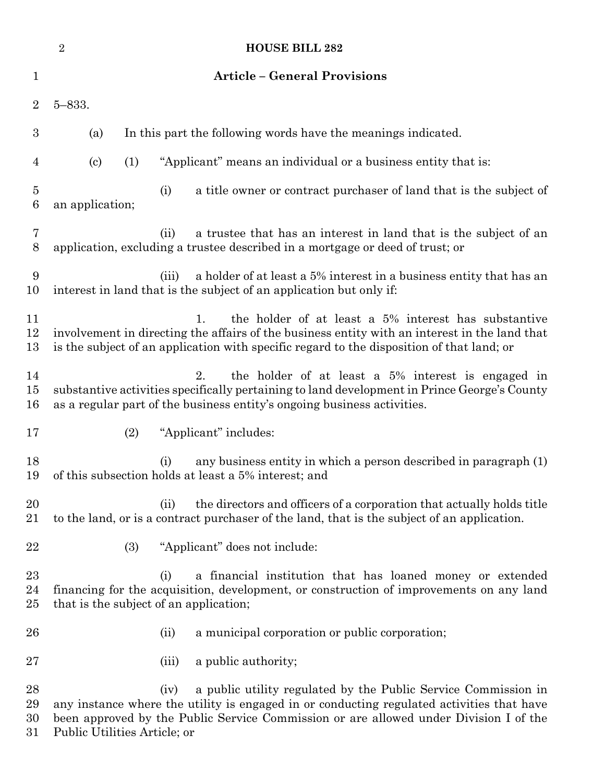|                                    | $\sqrt{2}$                                                                                                                                                                                                                                                                                   | <b>HOUSE BILL 282</b>                                                                                                                                                                                                                                    |
|------------------------------------|----------------------------------------------------------------------------------------------------------------------------------------------------------------------------------------------------------------------------------------------------------------------------------------------|----------------------------------------------------------------------------------------------------------------------------------------------------------------------------------------------------------------------------------------------------------|
| 1                                  |                                                                                                                                                                                                                                                                                              | <b>Article - General Provisions</b>                                                                                                                                                                                                                      |
| $\overline{2}$                     | $5 - 833.$                                                                                                                                                                                                                                                                                   |                                                                                                                                                                                                                                                          |
| 3                                  | (a)                                                                                                                                                                                                                                                                                          | In this part the following words have the meanings indicated.                                                                                                                                                                                            |
| $\overline{4}$                     | (1)<br>$\left( \mathrm{c}\right)$                                                                                                                                                                                                                                                            | "Applicant" means an individual or a business entity that is:                                                                                                                                                                                            |
| $\overline{5}$<br>$\boldsymbol{6}$ | an application;                                                                                                                                                                                                                                                                              | a title owner or contract purchaser of land that is the subject of<br>(i)                                                                                                                                                                                |
| 7<br>8                             |                                                                                                                                                                                                                                                                                              | a trustee that has an interest in land that is the subject of an<br>(ii)<br>application, excluding a trustee described in a mortgage or deed of trust; or                                                                                                |
| 9<br>10                            |                                                                                                                                                                                                                                                                                              | a holder of at least a 5% interest in a business entity that has an<br>(iii)<br>interest in land that is the subject of an application but only if:                                                                                                      |
| 11<br>12<br>13                     |                                                                                                                                                                                                                                                                                              | the holder of at least a 5% interest has substantive<br>1.<br>involvement in directing the affairs of the business entity with an interest in the land that<br>is the subject of an application with specific regard to the disposition of that land; or |
| 14<br>15<br>16                     | the holder of at least a 5% interest is engaged in<br>2.<br>substantive activities specifically pertaining to land development in Prince George's County<br>as a regular part of the business entity's ongoing business activities.                                                          |                                                                                                                                                                                                                                                          |
| 17                                 | (2)                                                                                                                                                                                                                                                                                          | "Applicant" includes:                                                                                                                                                                                                                                    |
| 18<br>19                           |                                                                                                                                                                                                                                                                                              | any business entity in which a person described in paragraph (1)<br>(i)<br>of this subsection holds at least a 5% interest; and                                                                                                                          |
| 20<br>21                           |                                                                                                                                                                                                                                                                                              | the directors and officers of a corporation that actually holds title<br>(ii)<br>to the land, or is a contract purchaser of the land, that is the subject of an application.                                                                             |
| 22                                 | (3)                                                                                                                                                                                                                                                                                          | "Applicant" does not include:                                                                                                                                                                                                                            |
| 23<br>24<br>25                     | a financial institution that has loaned money or extended<br>(i)<br>financing for the acquisition, development, or construction of improvements on any land<br>that is the subject of an application;                                                                                        |                                                                                                                                                                                                                                                          |
| 26                                 |                                                                                                                                                                                                                                                                                              | a municipal corporation or public corporation;<br>(ii)                                                                                                                                                                                                   |
| 27                                 |                                                                                                                                                                                                                                                                                              | a public authority;<br>(iii)                                                                                                                                                                                                                             |
| 28<br>29<br>30<br>31               | a public utility regulated by the Public Service Commission in<br>(iv)<br>any instance where the utility is engaged in or conducting regulated activities that have<br>been approved by the Public Service Commission or are allowed under Division I of the<br>Public Utilities Article; or |                                                                                                                                                                                                                                                          |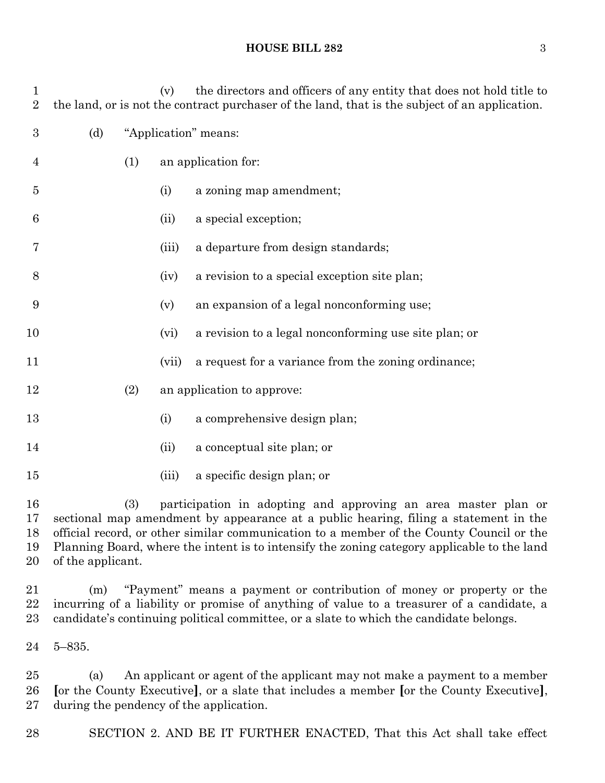

 (a) An applicant or agent of the applicant may not make a payment to a member **[**or the County Executive**]**, or a slate that includes a member **[**or the County Executive**]**, during the pendency of the application.

SECTION 2. AND BE IT FURTHER ENACTED, That this Act shall take effect

## **HOUSE BILL 282** 3